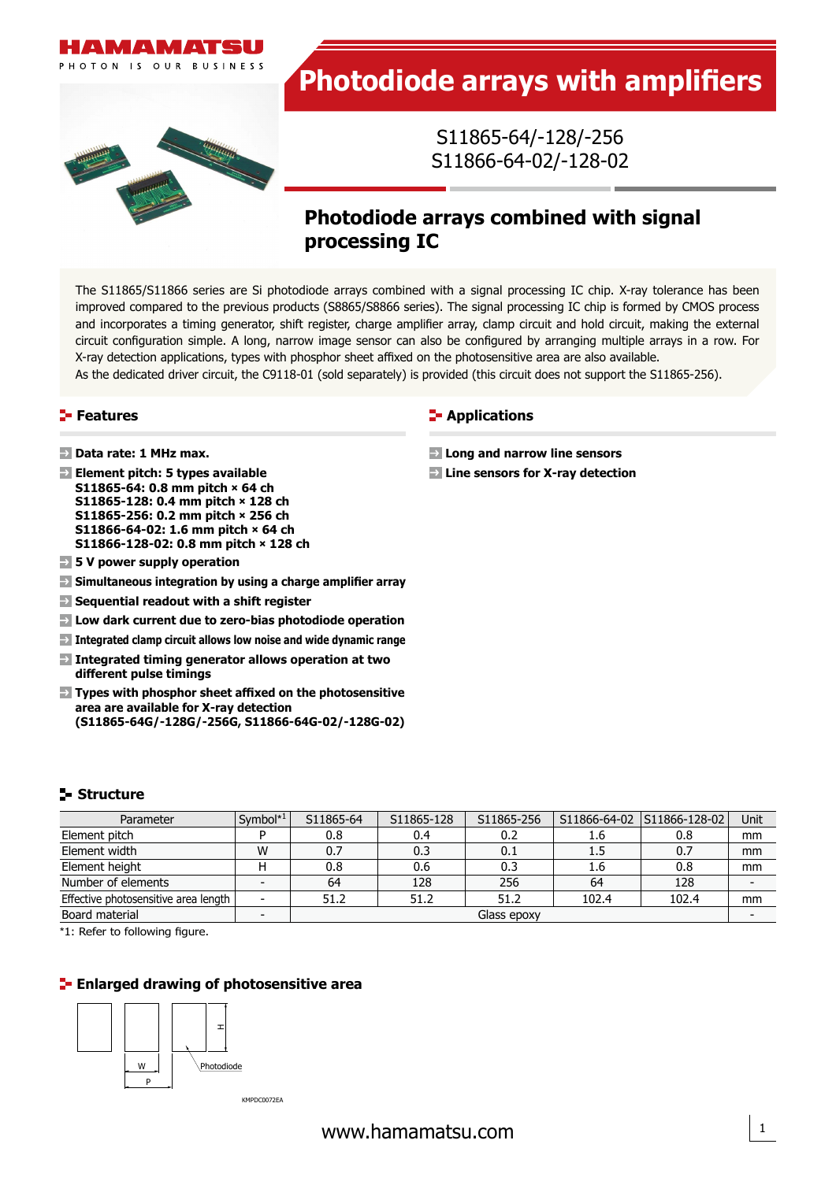

# **Photodiode arrays with amplifiers**

S11865-64/-128/-256 S11866-64-02/-128-02

## **Photodiode arrays combined with signal processing IC**

The S11865/S11866 series are Si photodiode arrays combined with a signal processing IC chip. X-ray tolerance has been improved compared to the previous products (S8865/S8866 series). The signal processing IC chip is formed by CMOS process and incorporates a timing generator, shift register, charge amplifier array, clamp circuit and hold circuit, making the external circuit configuration simple. A long, narrow image sensor can also be configured by arranging multiple arrays in a row. For X-ray detection applications, types with phosphor sheet affixed on the photosensitive area are also available.

As the dedicated driver circuit, the C9118-01 (sold separately) is provided (this circuit does not support the S11865-256).

#### **Features**

- **Data rate: 1 MHz max.**
- **Element pitch: 5 types available S11865-64: 0.8 mm pitch × 64 ch S11865-128: 0.4 mm pitch × 128 ch S11865-256: 0.2 mm pitch × 256 ch S11866-64-02: 1.6 mm pitch × 64 ch S11866-128-02: 0.8 mm pitch × 128 ch**
- **5 V power supply operation**
- **Simultaneous integration by using a charge amplifier array**
- **Sequential readout with a shift register**
- **Low dark current due to zero-bias photodiode operation**
- **Integrated clamp circuit allows low noise and wide dynamic range**
- **Integrated timing generator allows operation at two different pulse timings**
- **Types with phosphor sheet affixed on the photosensitive area are available for X-ray detection (S11865-64G/-128G/-256G, S11866-64G-02/-128G-02)**

#### **Applications**

- **Long and narrow line sensors**
- **Line sensors for X-ray detection**

## **Structure**

| Parameter                            | Symbol*1                 | S11865-64   | S11865-128 | S11865-256 |       | S11866-64-02   S11866-128-02 | Unit |
|--------------------------------------|--------------------------|-------------|------------|------------|-------|------------------------------|------|
| Element pitch                        |                          | 0.8         | 0.4        | 0.2        | 1.6   | 0.8                          | mm   |
| Element width                        | W                        | 0.7         | 0.3        | 0.1        | 1.5   | 0.7                          | mm   |
| Element height                       |                          | 0.8         | 0.6        | 0.3        | 1.6   | 0.8                          | mm   |
| Number of elements                   | $\overline{\phantom{0}}$ | 64          | 128        | 256        | 64    | 128                          |      |
| Effective photosensitive area length |                          | 51.2        | 51.2       | 51.2       | 102.4 | 102.4                        | mm   |
| Board material                       |                          | Glass epoxy |            |            |       |                              |      |

\*1: Refer to following figure.

#### **Enlarged drawing of photosensitive area**



KMPDC0072EA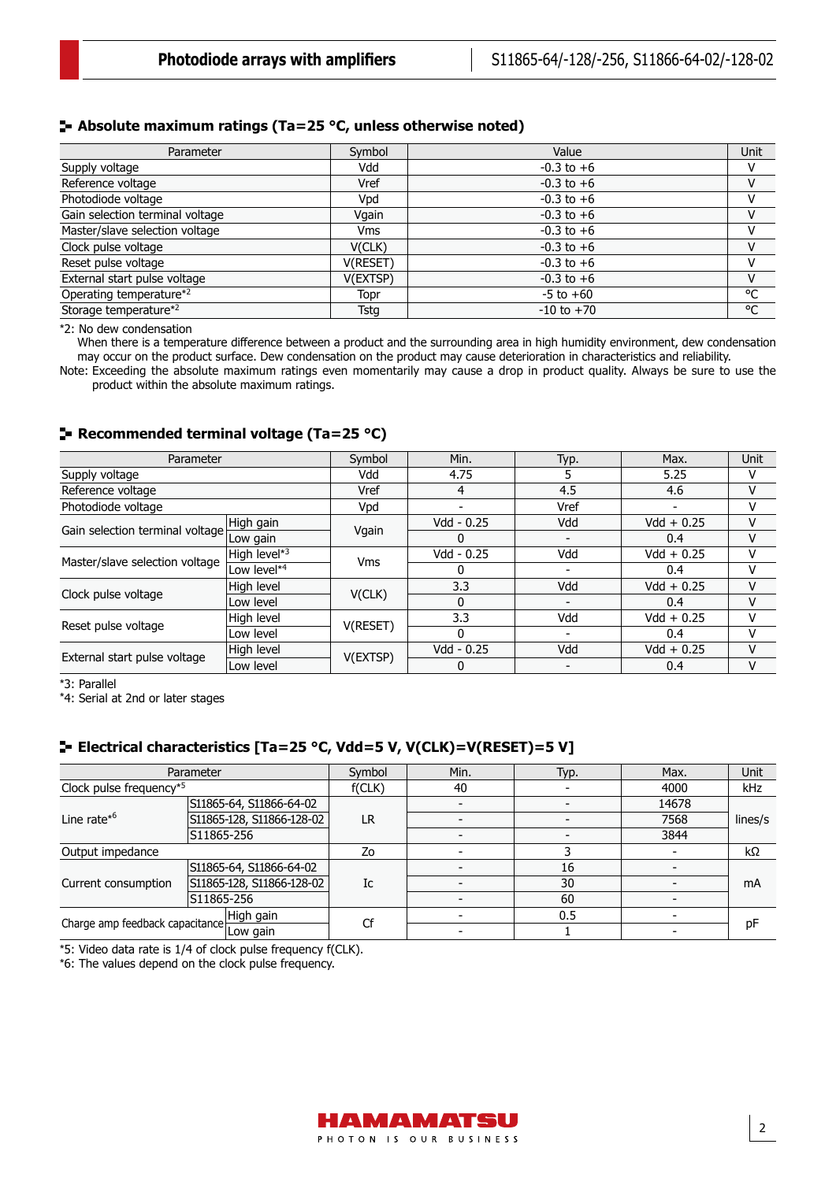#### **Absolute maximum ratings (Ta=25 °C, unless otherwise noted)**

| Parameter                         | Symbol      | Value          | Unit |
|-----------------------------------|-------------|----------------|------|
| Supply voltage                    | Vdd         | $-0.3$ to $+6$ |      |
| Reference voltage                 | Vref        | $-0.3$ to $+6$ | v    |
| Photodiode voltage                | Vpd         | $-0.3$ to $+6$ |      |
| Gain selection terminal voltage   | Vgain       | $-0.3$ to $+6$ | v    |
| Master/slave selection voltage    | <b>Vms</b>  | $-0.3$ to $+6$ |      |
| Clock pulse voltage               | V(CLK)      | $-0.3$ to $+6$ | v    |
| Reset pulse voltage               | V(RESET)    | $-0.3$ to $+6$ |      |
| External start pulse voltage      | V(EXTSP)    | $-0.3$ to $+6$ | v    |
| Operating temperature*2           | Topr        | $-5$ to $+60$  | °C   |
| Storage temperature* <sup>2</sup> | <b>Tstg</b> | $-10$ to $+70$ | °C   |

\*2: No dew condensation

When there is a temperature difference between a product and the surrounding area in high humidity environment, dew condensation may occur on the product surface. Dew condensation on the product may cause deterioration in characteristics and reliability.

Note: Exceeding the absolute maximum ratings even momentarily may cause a drop in product quality. Always be sure to use the product within the absolute maximum ratings.

#### **Recommended terminal voltage (Ta=25 °C)**

| Parameter                       |              | Symbol     | Min.         | Typ. | Max.         | Unit |
|---------------------------------|--------------|------------|--------------|------|--------------|------|
| Supply voltage                  |              | Vdd        | 4.75         |      | 5.25         | v    |
| Reference voltage               |              | Vref       | 4            | 4.5  | 4.6          | v    |
| Photodiode voltage              |              | Vpd        |              | Vref |              | v    |
| Gain selection terminal voltage | High gain    | Vgain      | Vdd - 0.25   | Vdd  | $Vdd + 0.25$ | v    |
|                                 | Low gain     |            | O            |      | 0.4          | v    |
|                                 | High level*3 | <b>Vms</b> | Vdd - 0.25   | Vdd  | $Vdd + 0.25$ | v    |
| Master/slave selection voltage  | Low level*4  |            |              |      | 0.4          | v    |
| Clock pulse voltage             | High level   | V(CLK)     | 3.3          | Vdd  | $Vdd + 0.25$ | v    |
|                                 | Low level    |            | 0            |      | 0.4          | v    |
|                                 | High level   |            | 3.3          | Vdd  | $Vdd + 0.25$ | v    |
| Reset pulse voltage             | Low level    | V(RESET)   | 0            |      | 0.4          | v    |
|                                 | High level   |            | $Vdd - 0.25$ | Vdd  | $Vdd + 0.25$ | v    |
| External start pulse voltage    | Low level    | V(EXTSP)   |              |      | 0.4          | v    |

\*3: Parallel

\*4: Serial at 2nd or later stages

### **Electrical characteristics [Ta=25 °C, Vdd=5 V, V(CLK)=V(RESET)=5 V]**

|                                                         | Parameter                 | Symbol | Min. | Typ. | Max.  | Unit    |
|---------------------------------------------------------|---------------------------|--------|------|------|-------|---------|
| Clock pulse frequency*5                                 |                           | f(CLK) | 40   |      | 4000  | kHz     |
|                                                         | S11865-64, S11866-64-02   | LR     |      |      | 14678 |         |
| Line rate* <sup>6</sup>                                 | S11865-128, S11866-128-02 |        |      |      | 7568  | lines/s |
|                                                         | S11865-256                |        |      |      | 3844  |         |
| Output impedance                                        |                           | Zo     |      |      |       | kΩ      |
|                                                         | S11865-64, S11866-64-02   | Ic     |      | 16   |       |         |
| Current consumption                                     | S11865-128, S11866-128-02 |        |      | 30   |       | mA      |
|                                                         | S11865-256                |        |      | 60   |       |         |
| High gain<br>Charge amp feedback capacitance Library 31 |                           | Cf     |      | 0.5  |       |         |
|                                                         |                           |        |      |      |       | pF      |

\*5: Video data rate is 1/4 of clock pulse frequency f(CLK).

\*6: The values depend on the clock pulse frequency.

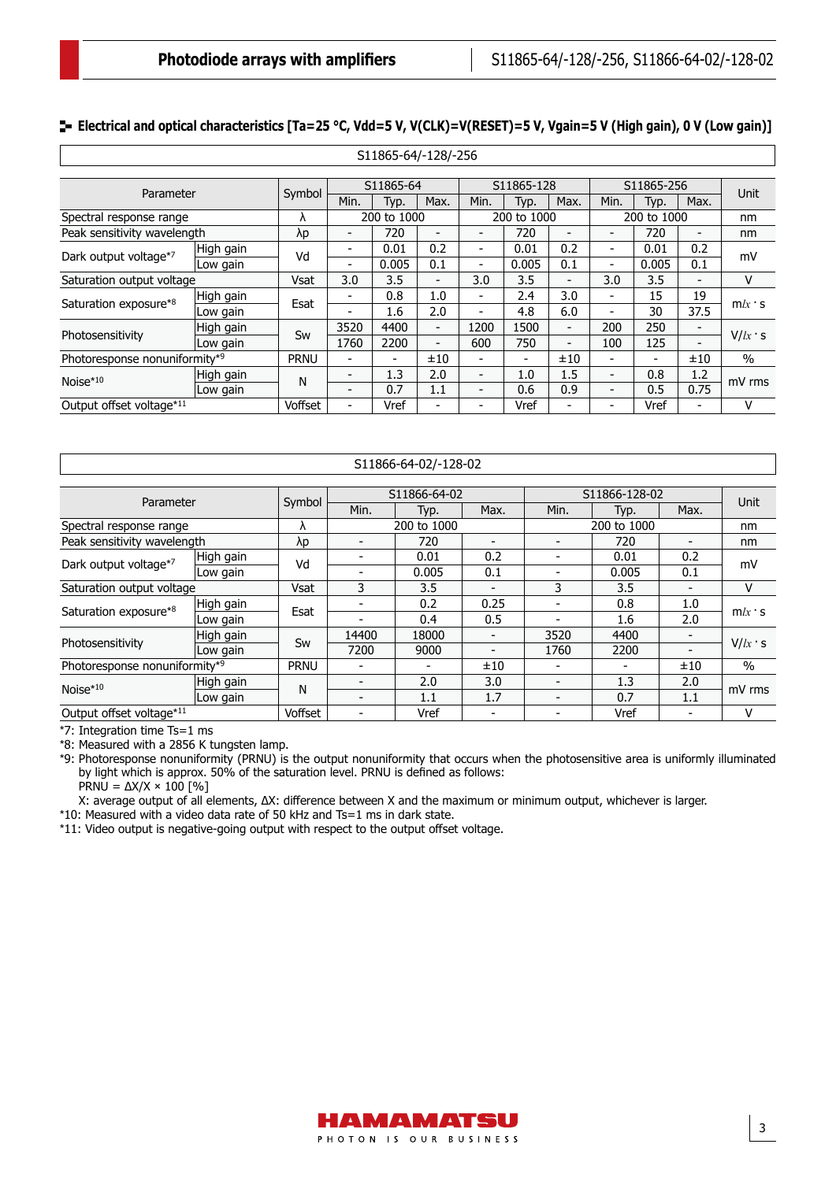3

#### **E** Electrical and optical characteristics [Ta=25 °C, Vdd=5 V, V(CLK)=V(RESET)=5 V, Vgain=5 V (High gain), 0 V (Low gain)]

| S11865-64/-128/-256           |           |             |                          |             |                          |      |                          |                          |                          |                |                          |               |
|-------------------------------|-----------|-------------|--------------------------|-------------|--------------------------|------|--------------------------|--------------------------|--------------------------|----------------|--------------------------|---------------|
|                               |           |             |                          |             |                          |      |                          |                          |                          |                |                          |               |
|                               |           |             |                          | S11865-64   |                          |      | S11865-128               |                          |                          | S11865-256     |                          | Unit          |
| Parameter                     |           | Symbol      | Min.                     | Typ.        | Max.                     | Min. | Typ.                     | Max.                     | Min.                     | Typ.           | Max.                     |               |
| Spectral response range       |           | Λ           |                          | 200 to 1000 |                          |      | 200 to 1000              |                          |                          | 200 to 1000    |                          | nm            |
| Peak sensitivity wavelength   |           | $\lambda p$ | $\overline{\phantom{0}}$ | 720         | $\overline{a}$           |      | 720                      | $\overline{\phantom{0}}$ | $\overline{\phantom{0}}$ | 720            | $\overline{\phantom{0}}$ | nm            |
| Dark output voltage*7         | High gain | Vd          | $\overline{\phantom{0}}$ | 0.01        | 0.2                      | -    | 0.01                     | 0.2                      | $\overline{\phantom{0}}$ | 0.01           | 0.2                      | mV            |
|                               | Low gain  |             | $\overline{\phantom{0}}$ | 0.005       | 0.1                      | -    | 0.005                    | 0.1                      | -                        | 0.005          | 0.1                      |               |
| Saturation output voltage     |           | Vsat        | 3.0                      | 3.5         | -                        | 3.0  | 3.5                      | $\overline{\phantom{a}}$ | 3.0                      | 3.5            |                          | v             |
|                               | High gain | Esat        | $\overline{\phantom{0}}$ | 0.8         | 1.0                      |      | 2.4                      | 3.0                      | $\overline{\phantom{0}}$ | 15             | 19                       |               |
| Saturation exposure*8         | Low gain  |             | $\overline{\phantom{a}}$ | 1.6         | 2.0                      | -    | 4.8                      | 6.0                      | $\overline{\phantom{0}}$ | 30             | 37.5                     | $m/x$ s       |
|                               | High gain | Sw          | 3520                     | 4400        | $\overline{\phantom{0}}$ | 1200 | 1500                     | $\overline{\phantom{a}}$ | 200                      | 250            | $\overline{\phantom{a}}$ |               |
| Photosensitivity              | Low gain  |             | 1760                     | 2200        | $\blacksquare$           | 600  | 750                      | $\overline{\phantom{0}}$ | 100                      | 125            |                          | $V/k \cdot s$ |
| Photoresponse nonuniformity*9 |           | <b>PRNU</b> | $\overline{\phantom{a}}$ | -           | ±10                      | -    | $\overline{\phantom{a}}$ | ±10                      | $\overline{\phantom{0}}$ | $\blacksquare$ | ±10                      | $\frac{0}{0}$ |
| Noise $*10$                   | High gain | N           |                          | 1.3         | 2.0                      | -    | 1.0                      | 1.5                      | $\overline{\phantom{0}}$ | 0.8            | 1.2                      | mV rms        |
|                               | Low gain  |             | $\overline{\phantom{0}}$ | 0.7         | 1.1                      |      | 0.6                      | 0.9                      | $\blacksquare$           | 0.5            | 0.75                     |               |
| Output offset voltage*11      |           | Voffset     | $\blacksquare$           | Vref        | $\blacksquare$           | -    | Vref                     | $\overline{\phantom{0}}$ | $\overline{\phantom{0}}$ | Vref           | $\overline{\phantom{0}}$ | v             |

| S11866-64-02/-128-02          |           |             |       |              |                          |      |               |                |          |
|-------------------------------|-----------|-------------|-------|--------------|--------------------------|------|---------------|----------------|----------|
|                               |           |             |       | S11866-64-02 |                          |      | S11866-128-02 |                |          |
| Parameter                     |           | Symbol      |       |              |                          |      |               |                | Unit     |
|                               |           |             | Min.  | Typ.         | Max.                     | Min. | Typ.          | Max.           |          |
| Spectral response range       |           | ۸           |       | 200 to 1000  |                          |      | 200 to 1000   |                | nm       |
| Peak sensitivity wavelength   |           | λp          |       | 720          |                          |      | 720           | -              | nm       |
| Dark output voltage*7         | High gain | Vd          |       | 0.01         | 0.2                      |      | 0.01          | 0.2            | mV       |
|                               | Low gain  |             |       | 0.005        | 0.1                      |      | 0.005         | 0.1            |          |
| Saturation output voltage     |           | Vsat        | 3     | 3.5          |                          | 3    | 3.5           |                | v        |
| Saturation exposure*8         | High gain | Esat        |       | 0.2          | 0.25                     |      | 0.8           | 1.0            | $m/x$ s  |
|                               | Low gain  |             |       | 0.4          | 0.5                      |      | 1.6           | 2.0            |          |
| Photosensitivity              | High gain | Sw          | 14400 | 18000        | $\qquad \qquad$          | 3520 | 4400          | $\blacksquare$ | $V/lx$ s |
|                               | Low gain  |             | 7200  | 9000         |                          | 1760 | 2200          |                |          |
| Photoresponse nonuniformity*9 |           | <b>PRNU</b> |       |              | ±10                      |      |               | ±10            | $\%$     |
| $Noise*10$                    | High gain | N           |       | 2.0          | 3.0                      |      | 1.3           | 2.0            | mV rms   |
|                               | Low gain  |             |       | 1.1          | 1.7                      |      | 0.7           | 1.1            |          |
| Output offset voltage*11      |           | Voffset     |       | Vref         | $\overline{\phantom{0}}$ |      | Vref          |                | v        |

\*7: Integration time Ts=1 ms

\*8: Measured with a 2856 K tungsten lamp.

\*9: Photoresponse nonuniformity (PRNU) is the output nonuniformity that occurs when the photosensitive area is uniformly illuminated by light which is approx. 50% of the saturation level. PRNU is defined as follows:

 $PRNU = \Delta X/X \times 100$  [%]

X: average output of all elements, ∆X: difference between X and the maximum or minimum output, whichever is larger.

\*10: Measured with a video data rate of 50 kHz and Ts=1 ms in dark state.

\*11: Video output is negative-going output with respect to the output offset voltage.

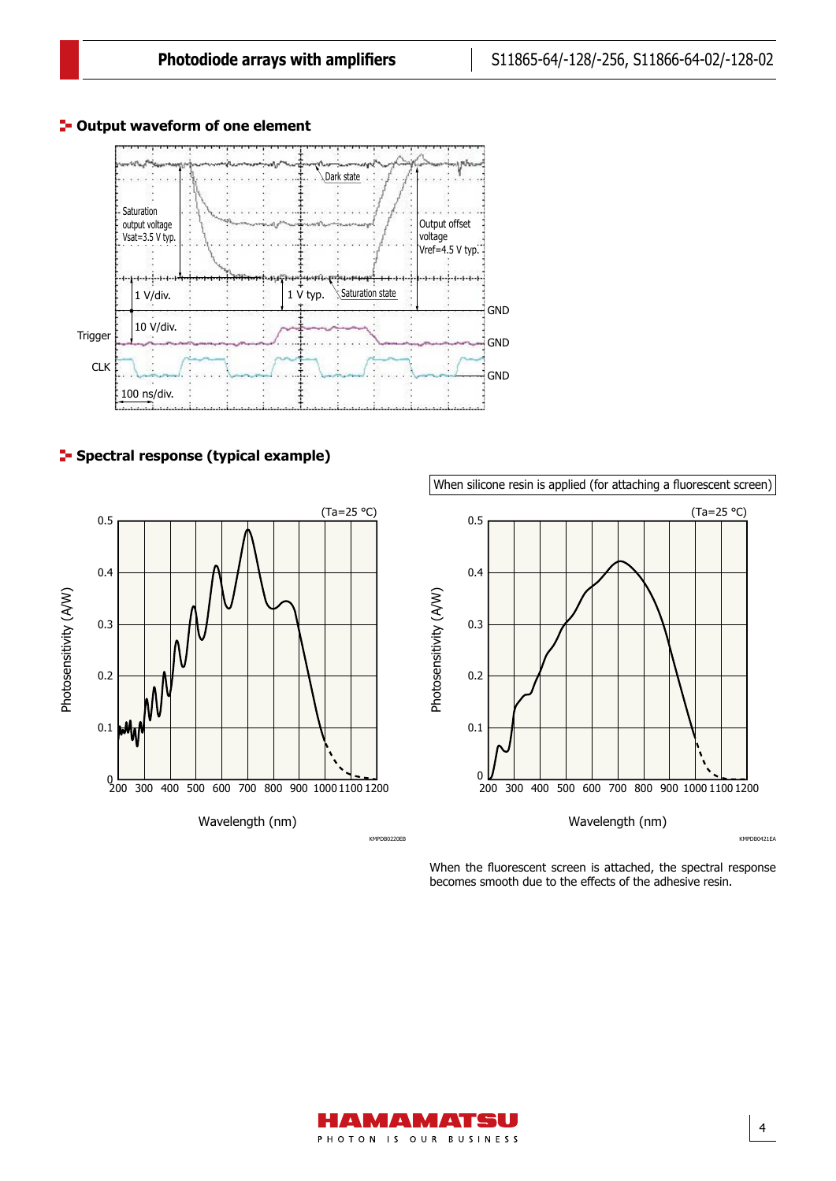

#### **P**-Output waveform of one element

### **F** Spectral response (typical example)



KMPDB0220EB

When silicone resin is applied (for attaching a fluorescent screen)



KMPDB0421EA

When the fluorescent screen is attached, the spectral response becomes smooth due to the effects of the adhesive resin.

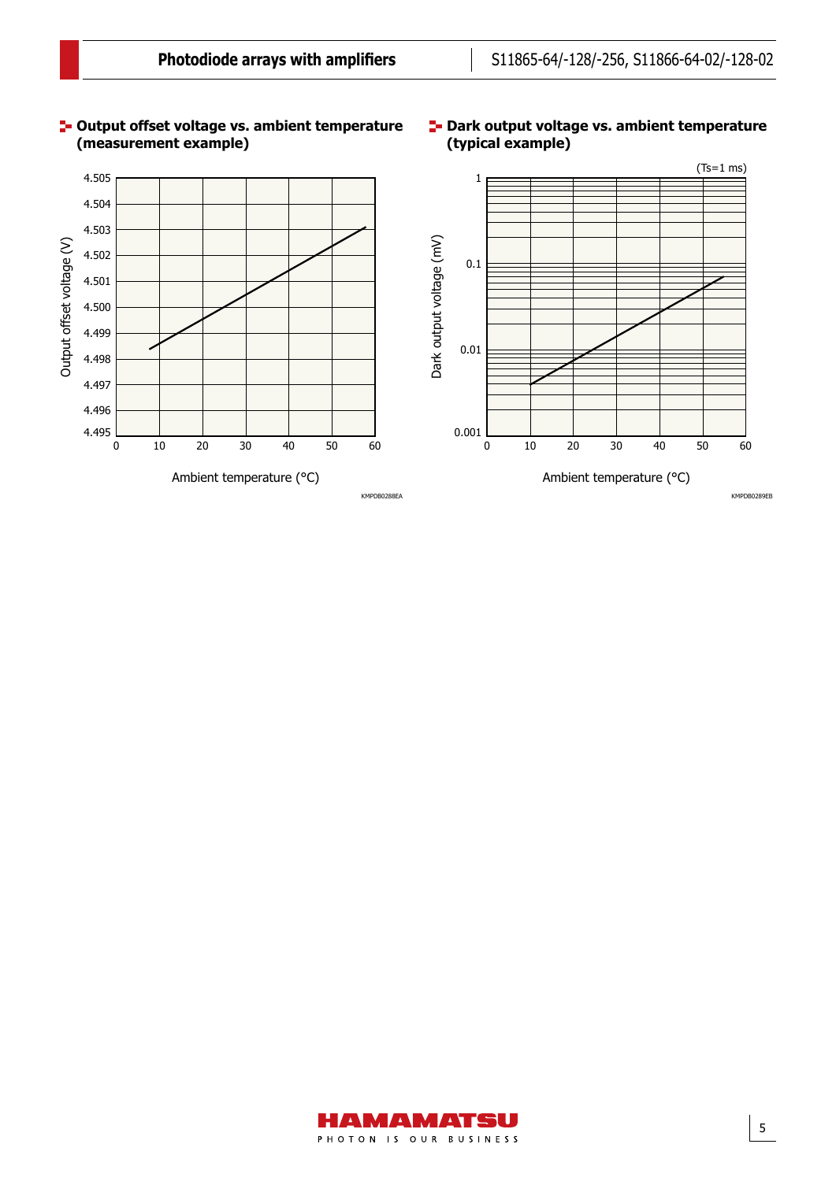

# **(measurement example)**

# **(typical example)**

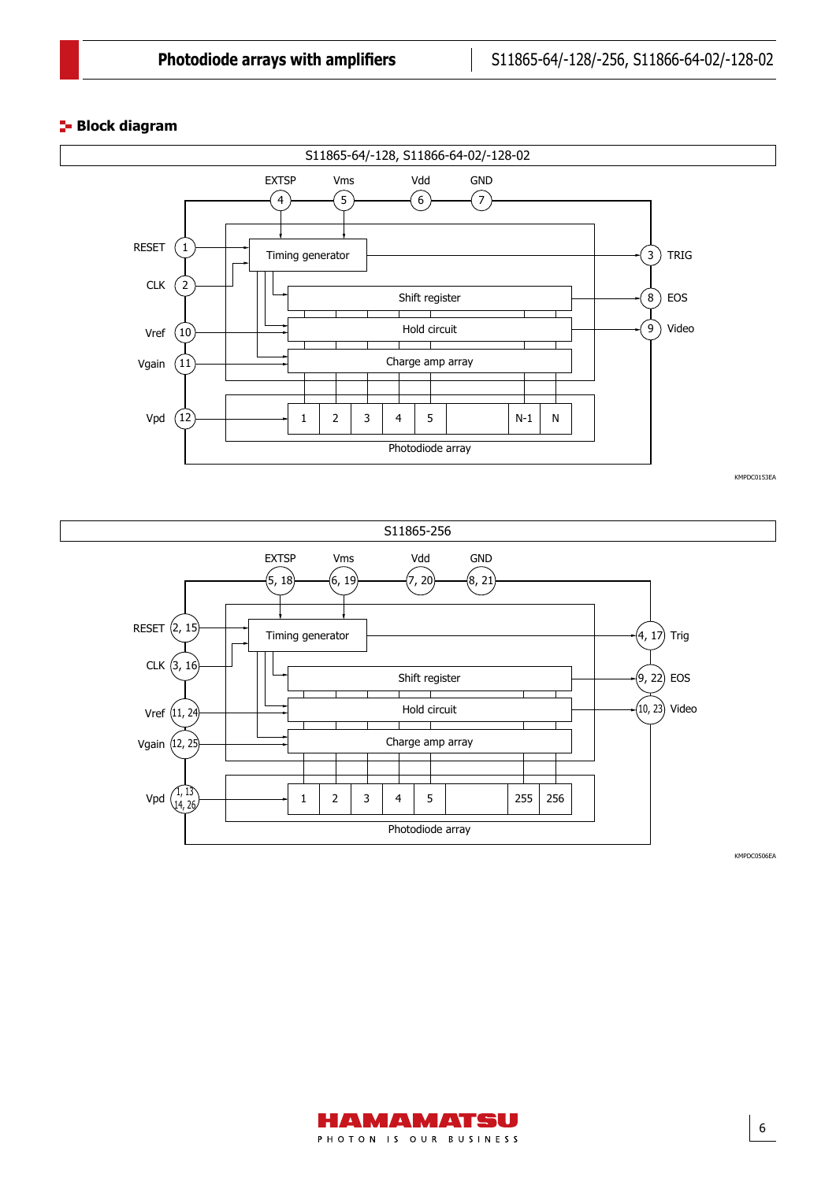#### **Block diagram**



KMPDC0153EA

6



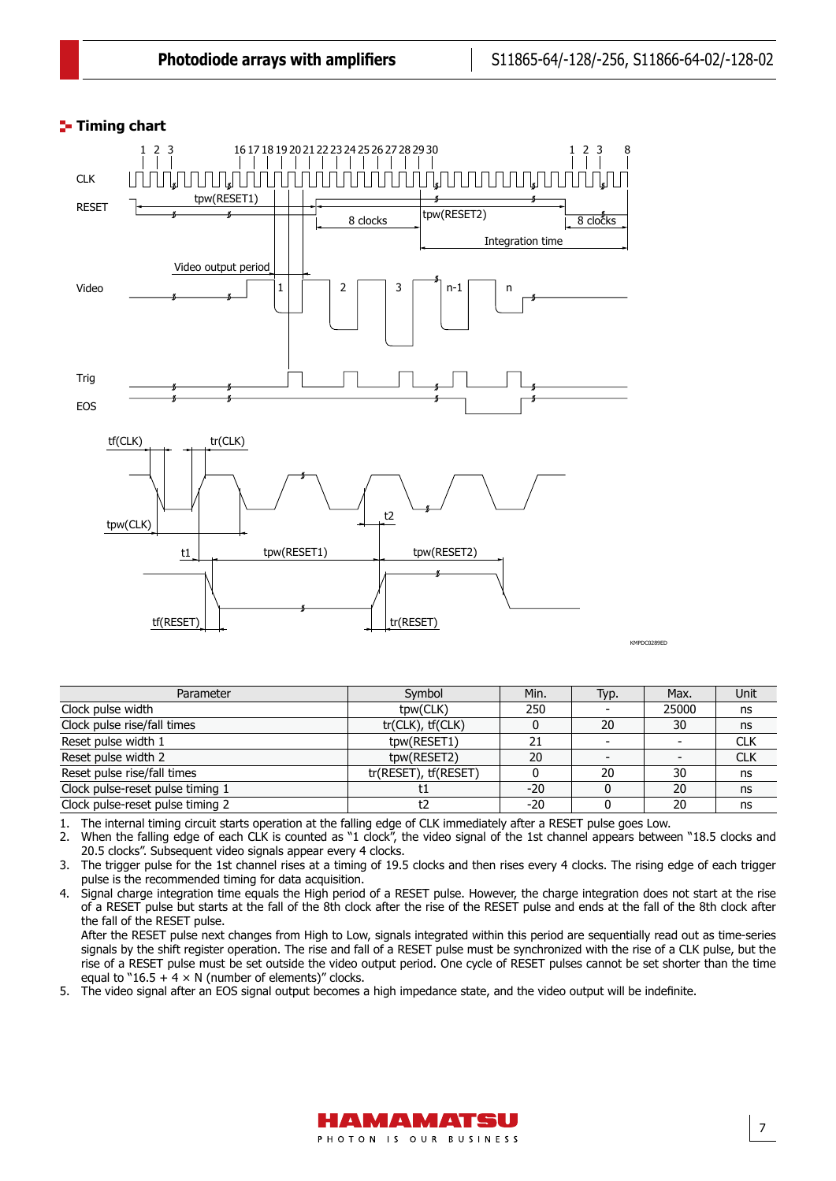## **Timing chart** Timing chart



Parameter Symbol Min. Typ. Max. Unit Clock pulse width the control of the clock pulse width the clock pulse width the clock pulse width the clock pulse width the clock pulse width the clock pulse width the clock pulse width the clock pulse width the clock pul Clock pulse rise/fall times tr(CLK), tf(CLK) 0 20 30 ns Reset pulse width 1 tpw(RESET1) 21 - CLK<br>Reset pulse width 2 tpw(RESET2) 20 - CLK Reset pulse width 2 the control of the control of the the the two texts are the control of the control of the control of the texts of club control of the control of the texts of control of the texts of control of the texts Reset pulse rise/fall times<br>
Clock pulse-reset pulse timing 1 to the set of the set of the set of the set of the set of the set of the set of the set of the set of the set of the set of the set of the set of the set of the Clock pulse-reset pulse timing 1 t1 -20 0 20 ns Clock pulse-reset pulse timing 2 t2 t2 -20 0 20 ns

1. The internal timing circuit starts operation at the falling edge of CLK immediately after a RESET pulse goes Low.

2. When the falling edge of each CLK is counted as "1 clock", the video signal of the 1st channel appears between "18.5 clocks and 20.5 clocks". Subsequent video signals appear every 4 clocks.

3. The trigger pulse for the 1st channel rises at a timing of 19.5 clocks and then rises every 4 clocks. The rising edge of each trigger pulse is the recommended timing for data acquisition.

4. Signal charge integration time equals the High period of a RESET pulse. However, the charge integration does not start at the rise of a RESET pulse but starts at the fall of the 8th clock after the rise of the RESET pulse and ends at the fall of the 8th clock after the fall of the RESET pulse.

After the RESET pulse next changes from High to Low, signals integrated within this period are sequentially read out as time-series signals by the shift register operation. The rise and fall of a RESET pulse must be synchronized with the rise of a CLK pulse, but the rise of a RESET pulse must be set outside the video output period. One cycle of RESET pulses cannot be set shorter than the time equal to "16.5 + 4  $\times$  N (number of elements)" clocks.

5. The video signal after an EOS signal output becomes a high impedance state, and the video output will be indefinite.

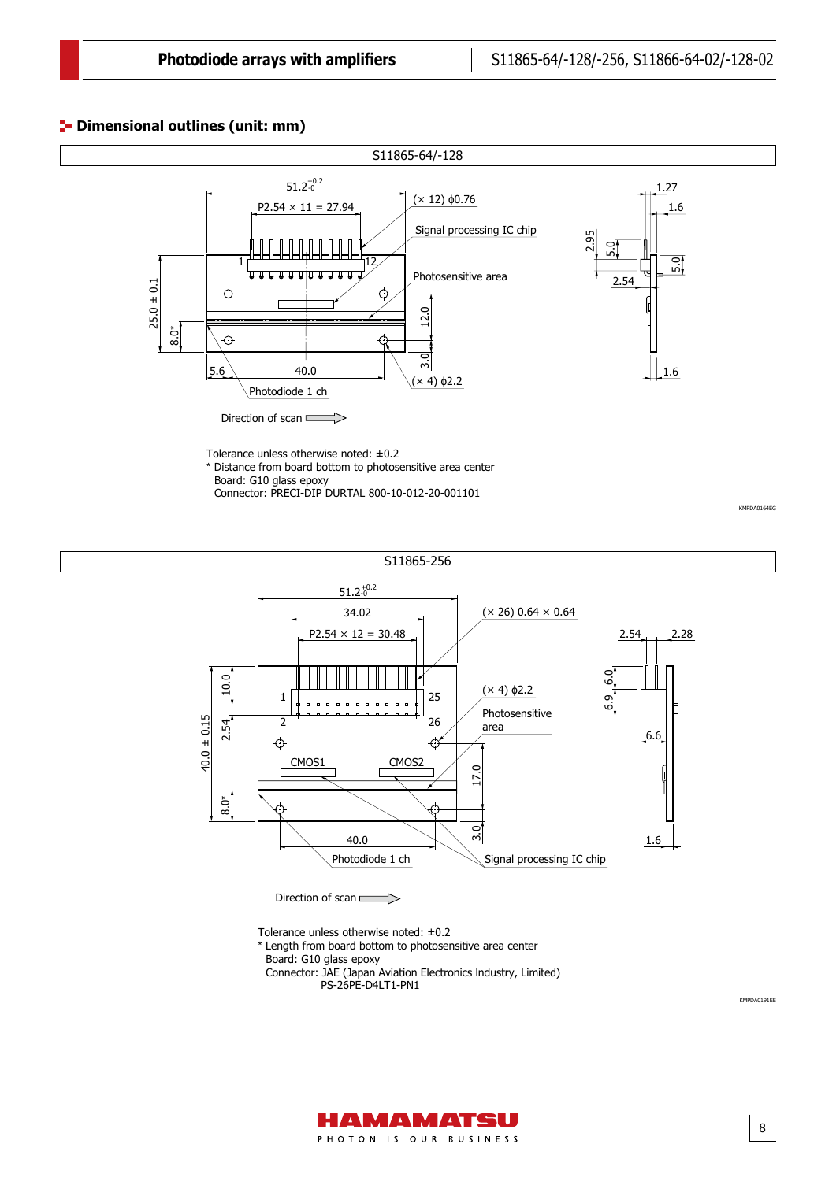8

KMPDA0191EE

## **P** Dimensional outlines (unit: mm)





Tolerance unless otherwise noted: ±0.2

\* Length from board bottom to photosensitive area center

Board: G10 glass epoxy

- Connector: JAE (Japan Aviation Electronics lndustry, Limited)
	- PS-26PE-D4LT1-PN1

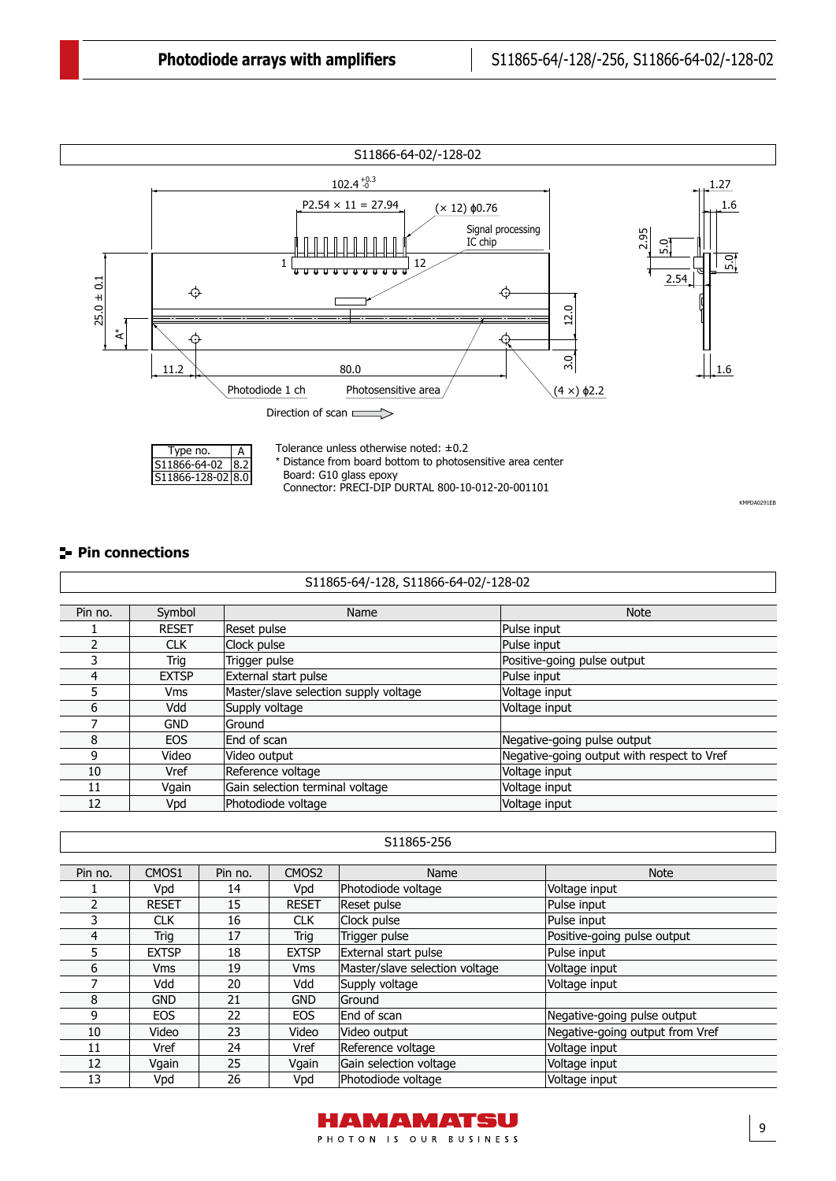

#### **Pin connections**

| S11865-64/-128, S11866-64-02/-128-02 |              |                                       |                                            |  |  |  |
|--------------------------------------|--------------|---------------------------------------|--------------------------------------------|--|--|--|
| Pin no.                              | Symbol       | Name                                  | <b>Note</b>                                |  |  |  |
|                                      | <b>RESET</b> | Reset pulse                           | Pulse input                                |  |  |  |
|                                      | <b>CLK</b>   | Clock pulse                           | Pulse input                                |  |  |  |
|                                      | Trig         | Trigger pulse                         | Positive-going pulse output                |  |  |  |
| 4                                    | <b>EXTSP</b> | External start pulse                  | Pulse input                                |  |  |  |
| 5.                                   | <b>Vms</b>   | Master/slave selection supply voltage | Voltage input                              |  |  |  |
| 6                                    | Vdd          | Supply voltage                        | Voltage input                              |  |  |  |
|                                      | <b>GND</b>   | lGround                               |                                            |  |  |  |
| 8                                    | <b>EOS</b>   | End of scan                           | Negative-going pulse output                |  |  |  |
| q                                    | Video        | Video output                          | Negative-going output with respect to Vref |  |  |  |
| 10                                   | Vref         | Reference voltage                     | Voltage input                              |  |  |  |
| 11                                   | Vgain        | Gain selection terminal voltage       | Voltage input                              |  |  |  |
| 12                                   | Vpd          | Photodiode voltage                    | Voltage input                              |  |  |  |
|                                      |              |                                       |                                            |  |  |  |

|         | S11865-256   |         |                   |                                |                                 |  |  |
|---------|--------------|---------|-------------------|--------------------------------|---------------------------------|--|--|
| Pin no. | CMOS1        | Pin no. | CMOS <sub>2</sub> | Name                           | <b>Note</b>                     |  |  |
|         | Vpd          | 14      | Vpd               | Photodiode voltage             | Voltage input                   |  |  |
| 2       | <b>RESET</b> | 15      | <b>RESET</b>      | Reset pulse                    | Pulse input                     |  |  |
| 3       | <b>CLK</b>   | 16      | <b>CLK</b>        | Clock pulse                    | Pulse input                     |  |  |
| 4       | Trig         | 17      | Trig              | Trigger pulse                  | Positive-going pulse output     |  |  |
| 5.      | <b>EXTSP</b> | 18      | <b>EXTSP</b>      | External start pulse           | Pulse input                     |  |  |
| 6       | <b>Vms</b>   | 19      | <b>Vms</b>        | Master/slave selection voltage | Voltage input                   |  |  |
|         | Vdd          | 20      | Vdd               | Supply voltage                 | Voltage input                   |  |  |
| 8       | <b>GND</b>   | 21      | <b>GND</b>        | lGround                        |                                 |  |  |
| 9       | <b>EOS</b>   | 22      | <b>EOS</b>        | End of scan                    | Negative-going pulse output     |  |  |
| 10      | Video        | 23      | Video             | Video output                   | Negative-going output from Vref |  |  |
| 11      | Vref         | 24      | Vref              | Reference voltage              | Voltage input                   |  |  |
| 12      | Vgain        | 25      | Vgain             | Gain selection voltage         | Voltage input                   |  |  |
| 13      | Vpd          | 26      | Vpd               | Photodiode voltage             | Voltage input                   |  |  |

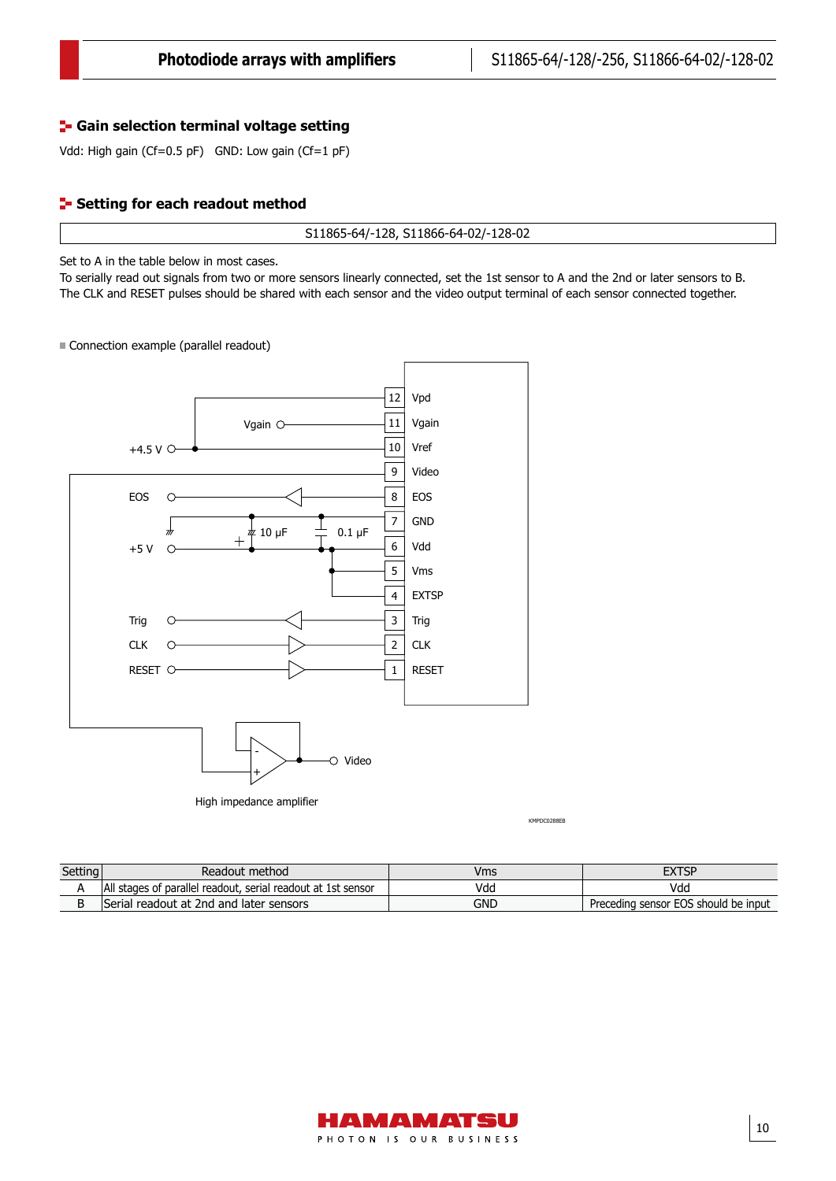#### **F** Gain selection terminal voltage setting

Vdd: High gain (Cf=0.5 pF) GND: Low gain (Cf=1 pF)

#### **Setting for each readout method**

S11865-64/-128, S11866-64-02/-128-02

Set to A in the table below in most cases.

Connection example

To serially read out signals from two or more sensors linearly connected, set the 1st sensor to A and the 2nd or later sensors to B. The CLK and RESET pulses should be shared with each sensor and the video output terminal of each sensor connected together.

Connection example (parallel readout)



KMPDC0288EB

| Setting<br>the property of the control of | Readout method                                               | Vms | <b>EXTSP</b>                         |
|-------------------------------------------|--------------------------------------------------------------|-----|--------------------------------------|
|                                           | All stages of parallel readout, serial readout at 1st sensor | Vdd | Vdd                                  |
|                                           | Serial readout at 2nd and later sensors                      | GND | Preceding sensor EOS should be input |

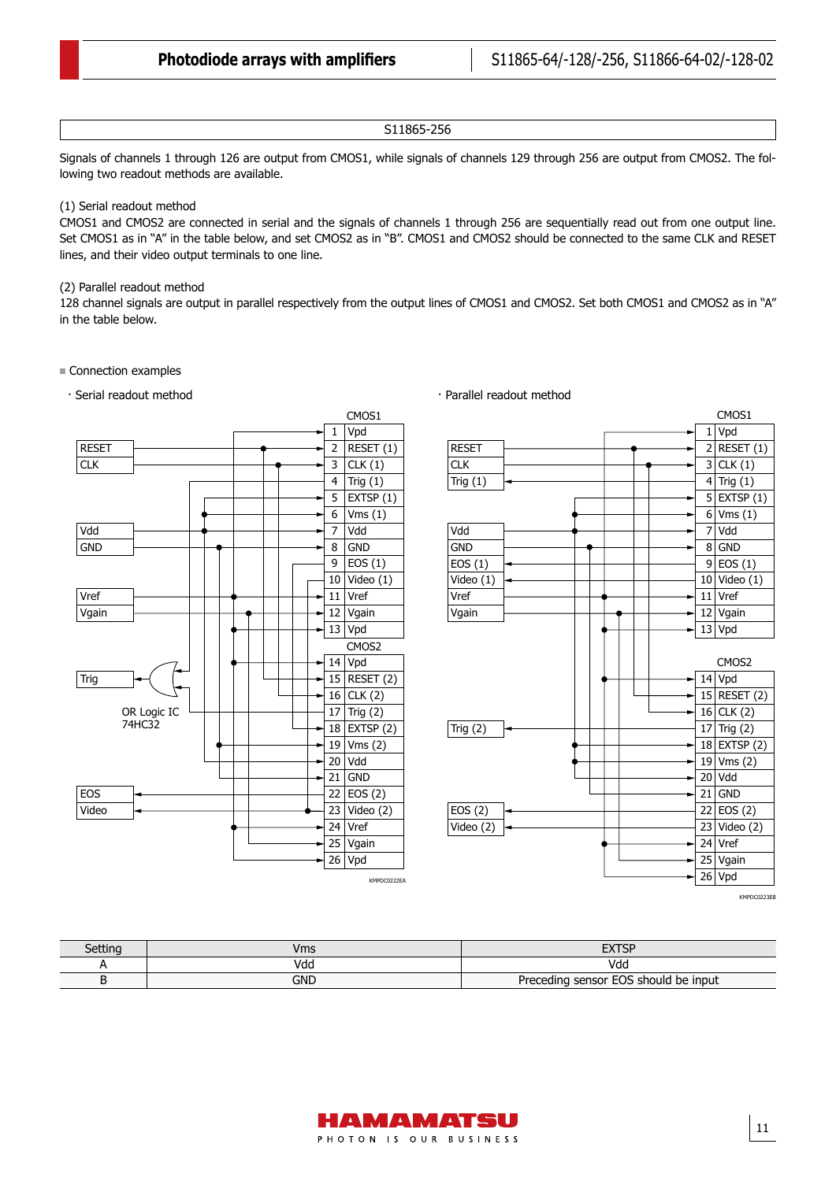#### S11865-256

Signals of channels 1 through 126 are output from CMOS1, while signals of channels 129 through 256 are output from CMOS2. The following two readout methods are available.

#### (1) Serial readout method

CMOS1 and CMOS2 are connected in serial and the signals of channels 1 through 256 are sequentially read out from one output line. Set CMOS1 as in "A" in the table below, and set CMOS2 as in "B". CMOS1 and CMOS2 should be connected to the same CLK and RESET lines, and their video output terminals to one line.

#### (2) Parallel readout method

128 channel signals are output in parallel respectively from the output lines of CMOS1 and CMOS2. Set both CMOS1 and CMOS2 as in "A" in the table below.

· Parallel readout method

#### Connection examples







KMPDC0223EB

| Setting | Vms | <b>CVTCD</b><br>ᇊ                    |
|---------|-----|--------------------------------------|
|         | Vda | Vdc                                  |
|         | GND | Preceding sensor EOS should be input |

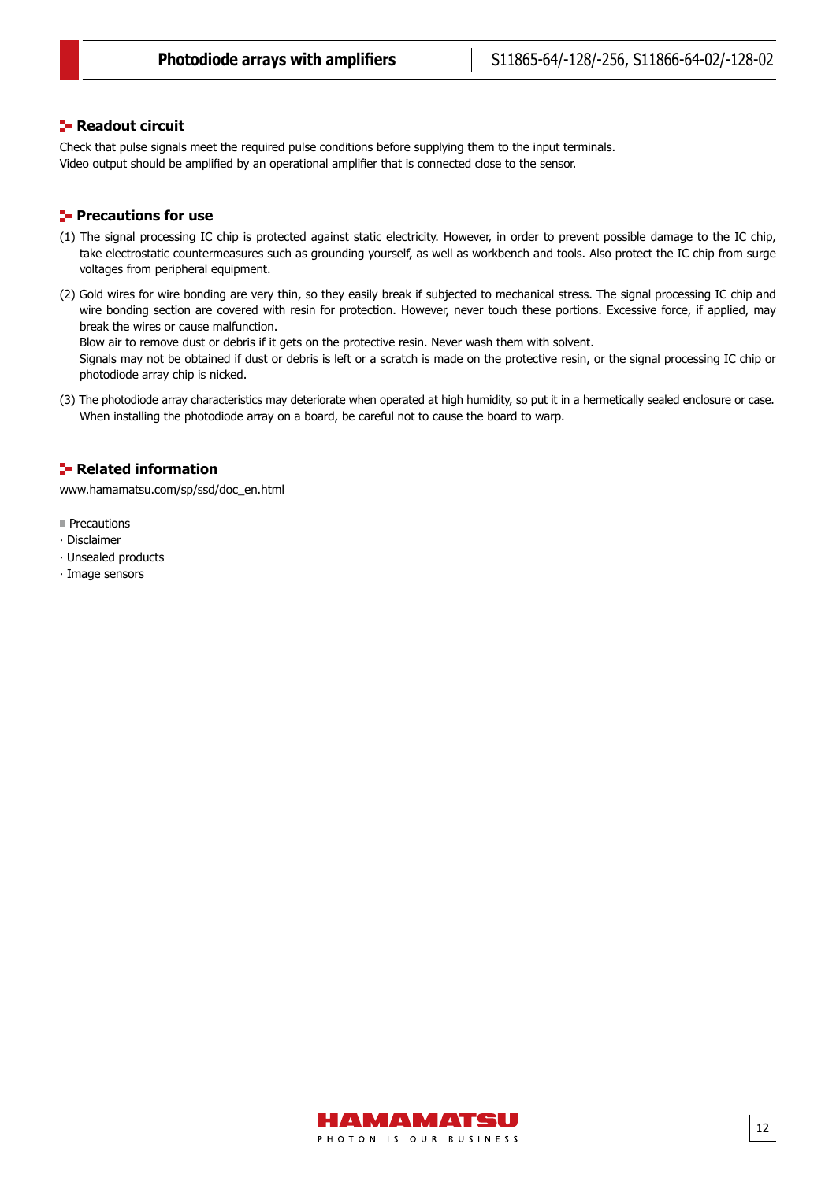#### **Readout circuit**

Check that pulse signals meet the required pulse conditions before supplying them to the input terminals. Video output should be amplified by an operational amplifier that is connected close to the sensor.

#### **Precautions for use**

- (1) The signal processing IC chip is protected against static electricity. However, in order to prevent possible damage to the IC chip, take electrostatic countermeasures such as grounding yourself, as well as workbench and tools. Also protect the IC chip from surge voltages from peripheral equipment.
- (2) Gold wires for wire bonding are very thin, so they easily break if subjected to mechanical stress. The signal processing IC chip and wire bonding section are covered with resin for protection. However, never touch these portions. Excessive force, if applied, may break the wires or cause malfunction.

Blow air to remove dust or debris if it gets on the protective resin. Never wash them with solvent.

Signals may not be obtained if dust or debris is left or a scratch is made on the protective resin, or the signal processing IC chip or photodiode array chip is nicked.

(3) The photodiode array characteristics may deteriorate when operated at high humidity, so put it in a hermetically sealed enclosure or case. When installing the photodiode array on a board, be careful not to cause the board to warp.

#### **Related information**

[www.hamamatsu.com/sp/ssd/doc\\_en.html](http://www.hamamatsu.com/sp/ssd/doc_en.html)

- **Precautions**
- ∙ Disclaimer
- ∙ Unsealed products
- ∙ Image sensors

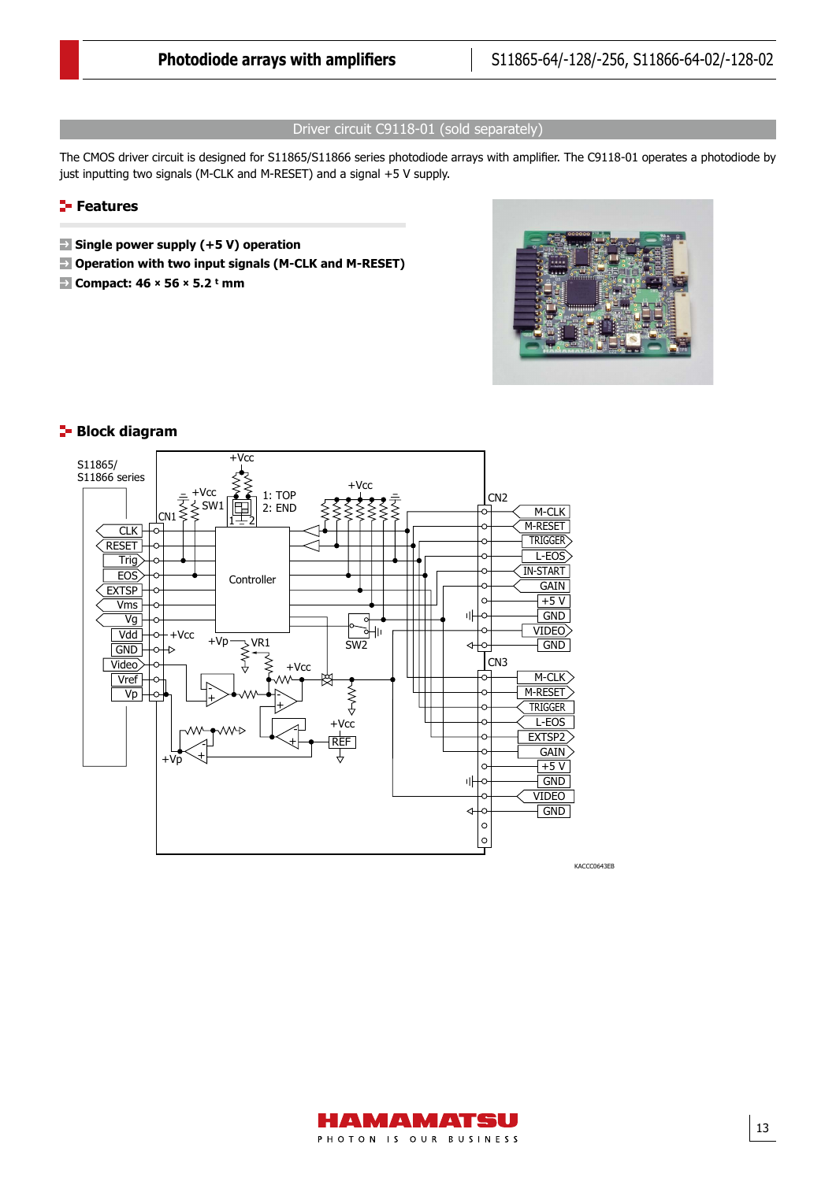#### Driver circuit C9118-01 (sold separately)

The CMOS driver circuit is designed for S11865/S11866 series photodiode arrays with amplifier. The C9118-01 operates a photodiode by just inputting two signals (M-CLK and M-RESET) and a signal +5 V supply.

#### **Features**

- **Single power supply (+5 V) operation**
- **Operation with two input signals (M-CLK and M-RESET)**
- **Compact: 46 × 56 × 5.2 t mm** Block diagram





#### **Block diagram**

KACCC0643EB